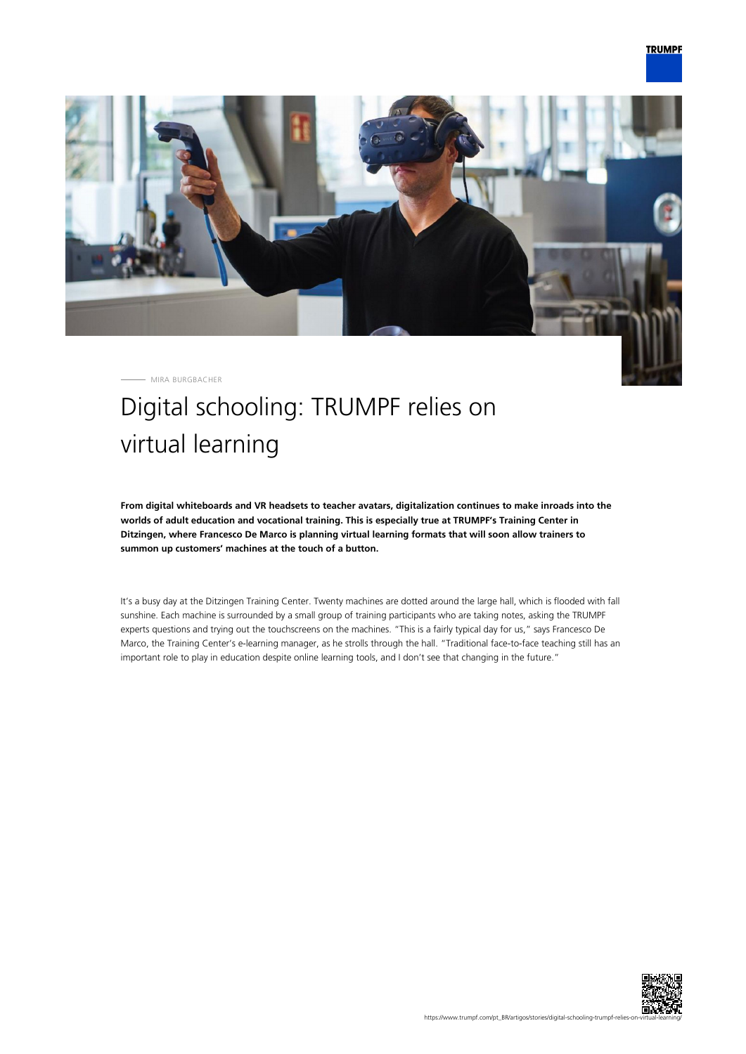

MIRA BURGBACHER

## Digital schooling: TRUMPF relies on virtual learning

**From digital whiteboards and VR headsets to teacher avatars, digitalization continues to make inroads into the worlds of adult education and vocational training. This is especially true at TRUMPF's Training Center in Ditzingen, where Francesco De Marco is planning virtual learning formats that will soon allow trainers to summon up customers' machines at the touch of a button.**

It's a busy day at the Ditzingen Training Center. Twenty machines are dotted around the large hall, which is flooded with fall sunshine. Each machine is surrounded by a small group of training participants who are taking notes, asking the TRUMPF experts questions and trying out the touchscreens on the machines. "This is a fairly typical day for us," says Francesco De Marco, the Training Center's e-learning manager, as he strolls through the hall. "Traditional face-to-face teaching still has an important role to play in education despite online learning tools, and I don't see that changing in the future."

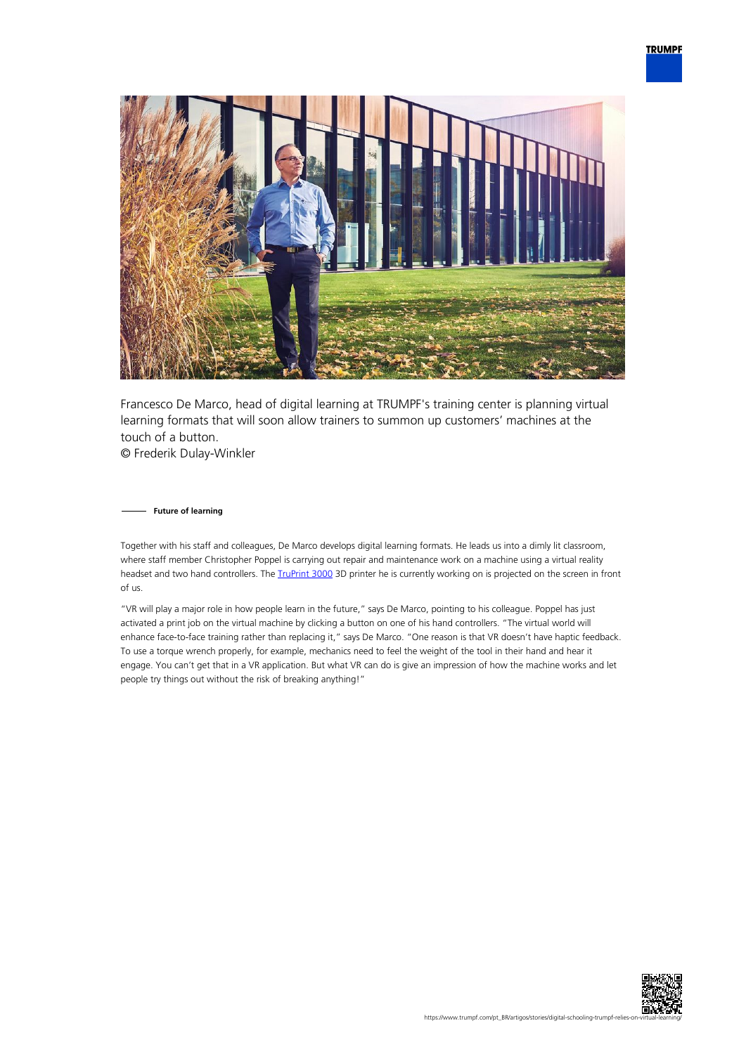

Francesco De Marco, head of digital learning at TRUMPF's training center is planning virtual learning formats that will soon allow trainers to summon up customers' machines at the touch of a button. © Frederik Dulay-Winkler

**Future of learning**

Together with his staff and colleagues, De Marco develops digital learning formats. He leads us into a dimly lit classroom, where staff member Christopher Poppel is carrying out repair and maintenance work on a machine using a virtual reality headset and two hand controllers. The [TruPrint 3000](https://www.trumpf.com/en_INT/products/machines-systems/additive-production-systems/truprint-3000/) 3D printer he is currently working on is projected on the screen in front of us.

"VR will play a major role in how people learn in the future," says De Marco, pointing to his colleague. Poppel has just activated a print job on the virtual machine by clicking a button on one of his hand controllers. "The virtual world will enhance face-to-face training rather than replacing it," says De Marco. "One reason is that VR doesn't have haptic feedback. To use a torque wrench properly, for example, mechanics need to feel the weight of the tool in their hand and hear it engage. You can't get that in a VR application. But what VR can do is give an impression of how the machine works and let people try things out without the risk of breaking anything!"

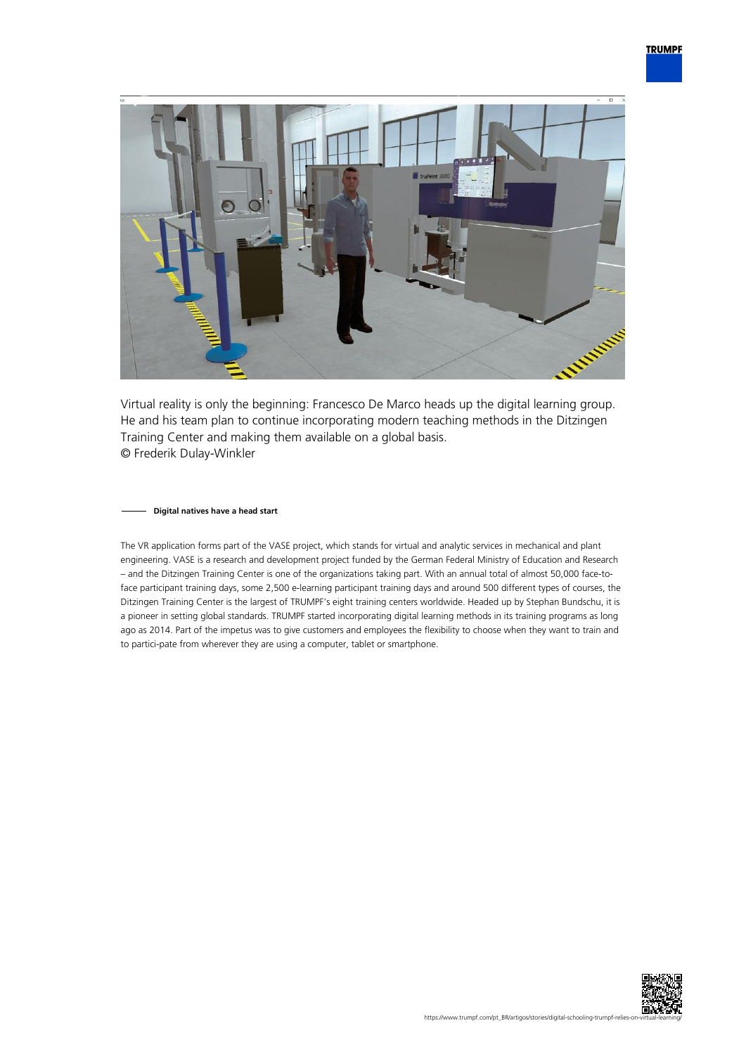

Virtual reality is only the beginning: Francesco De Marco heads up the digital learning group. He and his team plan to continue incorporating modern teaching methods in the Ditzingen Training Center and making them available on a global basis. © Frederik Dulay-Winkler

## **Digital natives have a head start**

The VR application forms part of the VASE project, which stands for virtual and analytic services in mechanical and plant engineering. VASE is a research and development project funded by the German Federal Ministry of Education and Research – and the Ditzingen Training Center is one of the organizations taking part. With an annual total of almost 50,000 face-toface participant training days, some 2,500 e-learning participant training days and around 500 different types of courses, the Ditzingen Training Center is the largest of TRUMPF's eight training centers worldwide. Headed up by Stephan Bundschu, it is a pioneer in setting global standards. TRUMPF started incorporating digital learning methods in its training programs as long ago as 2014. Part of the impetus was to give customers and employees the flexibility to choose when they want to train and to partici-pate from wherever they are using a computer, tablet or smartphone.

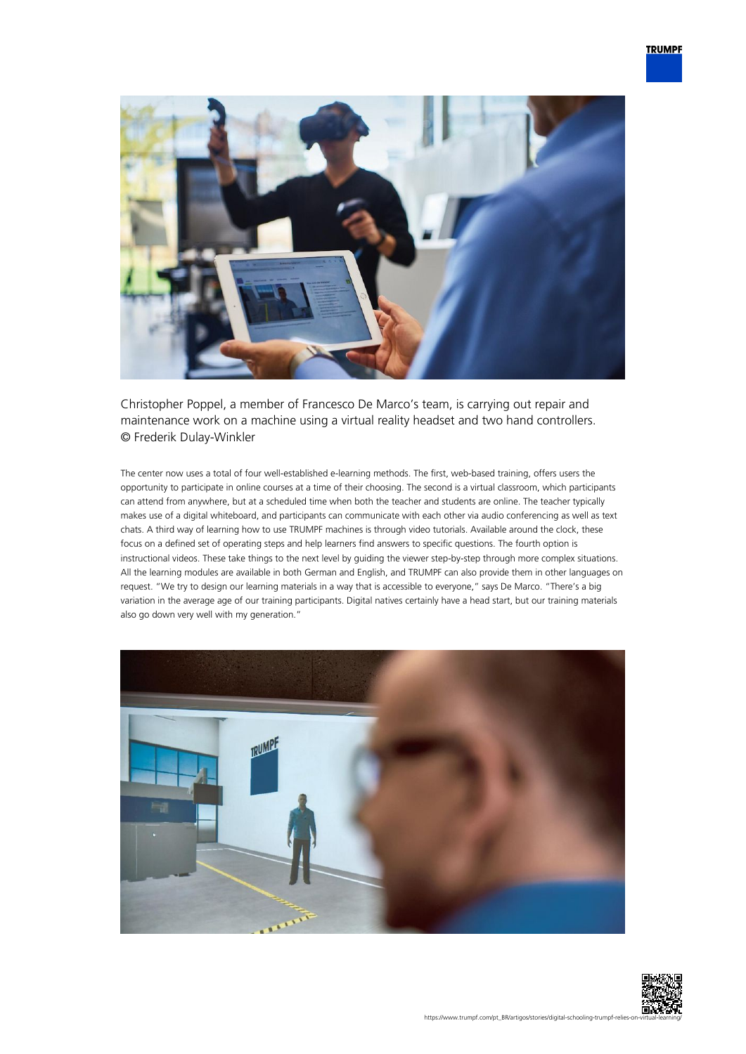

Christopher Poppel, a member of Francesco De Marco's team, is carrying out repair and maintenance work on a machine using a virtual reality headset and two hand controllers. © Frederik Dulay-Winkler

The center now uses a total of four well-established e-learning methods. The first, web-based training, offers users the opportunity to participate in online courses at a time of their choosing. The second is a virtual classroom, which participants can attend from anywhere, but at a scheduled time when both the teacher and students are online. The teacher typically makes use of a digital whiteboard, and participants can communicate with each other via audio conferencing as well as text chats. A third way of learning how to use TRUMPF machines is through video tutorials. Available around the clock, these focus on a defined set of operating steps and help learners find answers to specific questions. The fourth option is instructional videos. These take things to the next level by guiding the viewer step-by-step through more complex situations. All the learning modules are available in both German and English, and TRUMPF can also provide them in other languages on request. "We try to design our learning materials in a way that is accessible to everyone," says De Marco. "There's a big variation in the average age of our training participants. Digital natives certainly have a head start, but our training materials also go down very well with my generation."



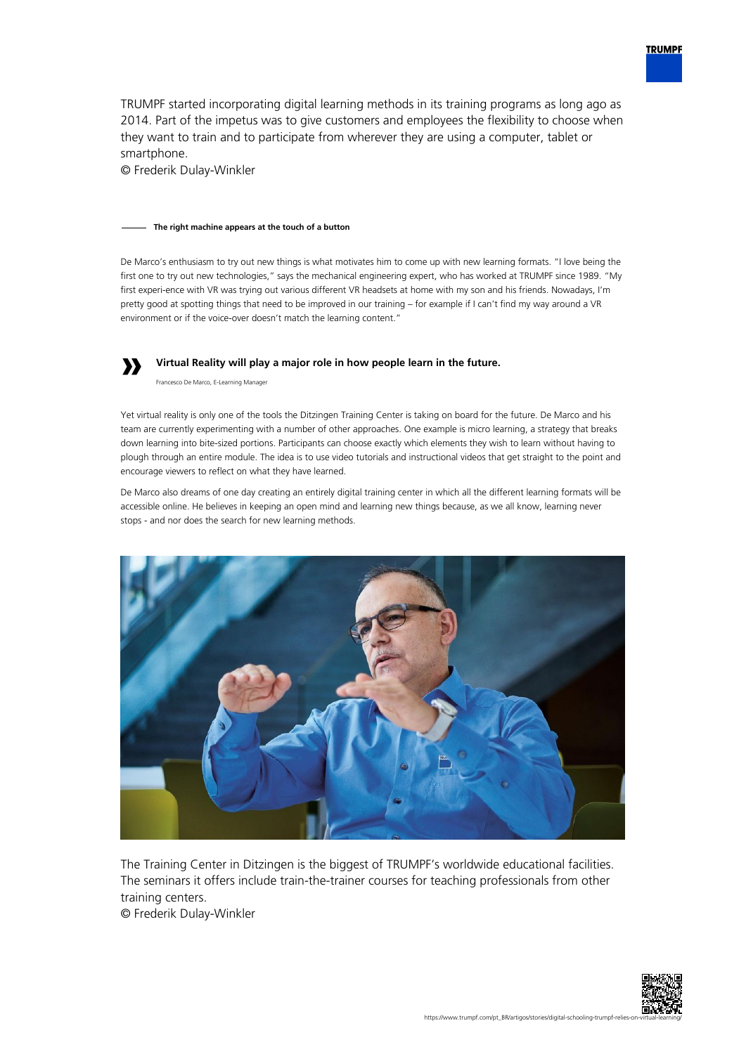TRUMPF started incorporating digital learning methods in its training programs as long ago as 2014. Part of the impetus was to give customers and employees the flexibility to choose when they want to train and to participate from wherever they are using a computer, tablet or smartphone.

© Frederik Dulay-Winkler

## **The right machine appears at the touch of a button**

De Marco's enthusiasm to try out new things is what motivates him to come up with new learning formats. "I love being the first one to try out new technologies," says the mechanical engineering expert, who has worked at TRUMPF since 1989. "My first experi-ence with VR was trying out various different VR headsets at home with my son and his friends. Nowadays, I'm pretty good at spotting things that need to be improved in our training – for example if I can't find my way around a VR environment or if the voice-over doesn't match the learning content."

## **Virtual Reality will play a major role in how people learn in the future.**

**»**

Francesco De Marco, E-Learning Manager

Yet virtual reality is only one of the tools the Ditzingen Training Center is taking on board for the future. De Marco and his team are currently experimenting with a number of other approaches. One example is micro learning, a strategy that breaks down learning into bite-sized portions. Participants can choose exactly which elements they wish to learn without having to plough through an entire module. The idea is to use video tutorials and instructional videos that get straight to the point and encourage viewers to reflect on what they have learned.

De Marco also dreams of one day creating an entirely digital training center in which all the different learning formats will be accessible online. He believes in keeping an open mind and learning new things because, as we all know, learning never stops - and nor does the search for new learning methods.



The Training Center in Ditzingen is the biggest of TRUMPF's worldwide educational facilities. The seminars it offers include train-the-trainer courses for teaching professionals from other training centers.

© Frederik Dulay-Winkler



**TRUMPF**